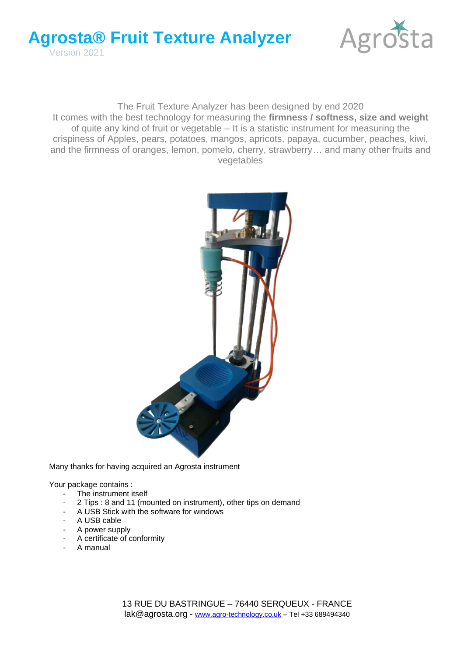



#### The Fruit Texture Analyzer has been designed by end 2020 It comes with the best technology for measuring the **firmness / softness, size and weight** of quite any kind of fruit or vegetable – It is a statistic instrument for measuring the crispiness of Apples, pears, potatoes, mangos, apricots, papaya, cucumber, peaches, kiwi, and the firmness of oranges, lemon, pomelo, cherry, strawberry… and many other fruits and vegetables



Many thanks for having acquired an Agrosta instrument

Your package contains :

- The instrument itself
- 2 Tips : 8 and 11 (mounted on instrument), other tips on demand
- A USB Stick with the software for windows
- A USB cable
- A power supply
- A certificate of conformity
- A manual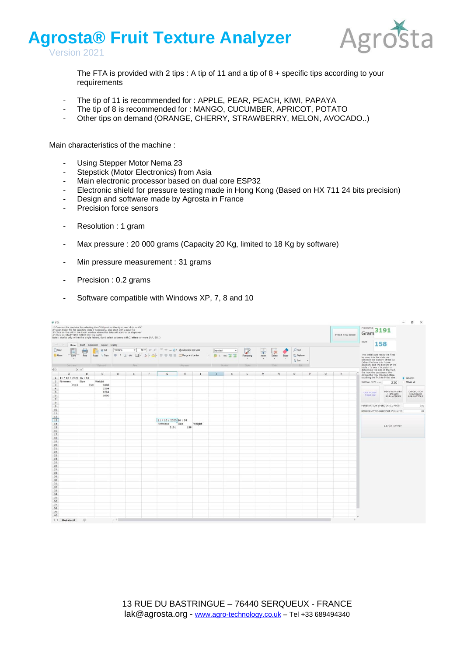



The FTA is provided with 2 tips : A tip of 11 and a tip of  $8 +$  specific tips according to your requirements

- The tip of 11 is recommended for : APPLE, PEAR, PEACH, KIWI, PAPAYA
- The tip of 8 is recommended for : MANGO, CUCUMBER, APRICOT, POTATO
- Other tips on demand (ORANGE, CHERRY, STRAWBERRY, MELON, AVOCADO..)

Main characteristics of the machine :

- Using Stepper Motor Nema 23
- Stepstick (Motor Electronics) from Asia
- Main electronic processor based on dual core ESP32
- Electronic shield for pressure testing made in Hong Kong (Based on HX 711 24 bits precision)
- Design and software made by Agrosta in France
- Precision force sensors
- Resolution : 1 gram
- Max pressure : 20 000 grams (Capacity 20 Kg, limited to 18 Kg by software)
- Min pressure measurement : 31 grams
- Precision : 0.2 grams
- Software compatible with Windows XP, 7, 8 and 10

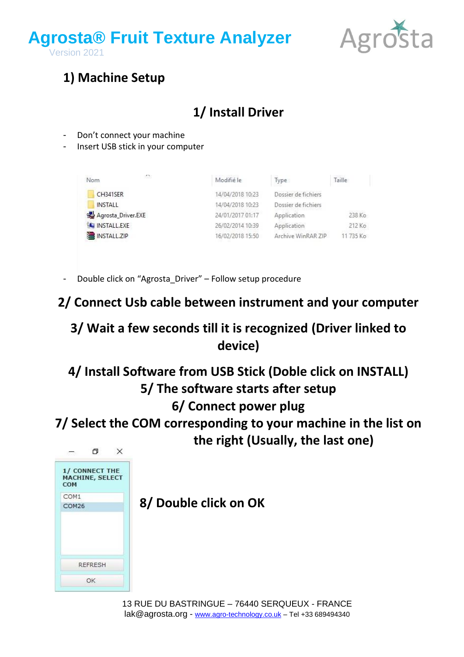



### **1) Machine Setup**

## **1/ Install Driver**

- Don't connect your machine
- Insert USB stick in your computer

| ZX.<br>Nom         | Modifié le       | Type                | Taille    |
|--------------------|------------------|---------------------|-----------|
| CH341SER           | 14/04/2018 10:23 | Dossier de fichiers |           |
| <b>INSTALL</b>     | 14/04/2018 10:23 | Dossier de fichiers |           |
| Agrosta_Driver.EXE | 24/01/2017 01:17 | Application         | 238 Ko    |
| INSTALL.EXE        | 26/02/2014 10:39 | Application         | 212 Ko    |
| INSTALL.ZIP        | 16/02/2018 15:50 | Archive WinRAR ZIP  | 11 735 Ko |

Double click on "Agrosta Driver" – Follow setup procedure

#### **2/ Connect Usb cable between instrument and your computer**

### **3/ Wait a few seconds till it is recognized (Driver linked to device)**

# **4/ Install Software from USB Stick (Doble click on INSTALL) 5/ The software starts after setup**

#### **6/ Connect power plug**

**7/ Select the COM corresponding to your machine in the list on the right (Usually, the last one)**

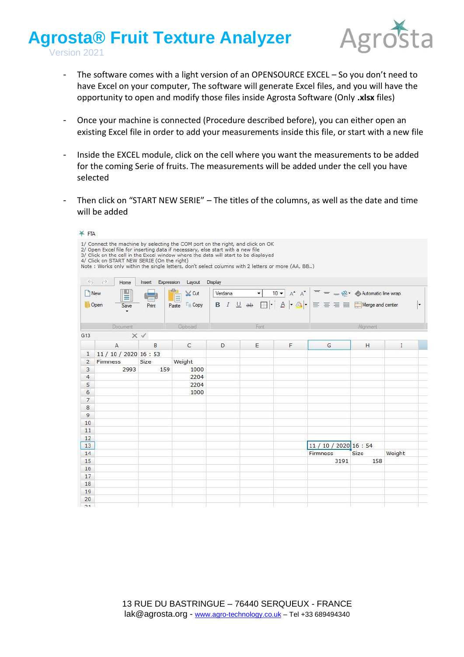

- The software comes with a light version of an OPENSOURCE EXCEL So you don't need to have Excel on your computer, The software will generate Excel files, and you will have the opportunity to open and modify those files inside Agrosta Software (Only **.xlsx** files)
- Once your machine is connected (Procedure described before), you can either open an existing Excel file in order to add your measurements inside this file, or start with a new file
- Inside the EXCEL module, click on the cell where you want the measurements to be added for the coming Serie of fruits. The measurements will be added under the cell you have selected
- Then click on "START NEW SERIE" The titles of the columns, as well as the date and time will be added

| ¥FTA              |                                                                                                                                                                                                                                                                                                                                                                                                           |                      |                          |         |              |   |                                                                                                                                                                                                                                                                                                                                                                                                                                                                                                      |           |        |         |
|-------------------|-----------------------------------------------------------------------------------------------------------------------------------------------------------------------------------------------------------------------------------------------------------------------------------------------------------------------------------------------------------------------------------------------------------|----------------------|--------------------------|---------|--------------|---|------------------------------------------------------------------------------------------------------------------------------------------------------------------------------------------------------------------------------------------------------------------------------------------------------------------------------------------------------------------------------------------------------------------------------------------------------------------------------------------------------|-----------|--------|---------|
|                   | 1/ Connect the machine by selecting the COM port on the right, and click on OK<br>2/ Open Excel file for inserting data if necessary, else start with a new file<br>3/ Click on the cell in the Excel window where the data will start to be displayed<br>4/ Click on START NEW SERIE (On the right)<br>Note : Works only within the single letters, don't select columns with 2 letters or more (AA, BB) |                      |                          |         |              |   |                                                                                                                                                                                                                                                                                                                                                                                                                                                                                                      |           |        |         |
| $\leftrightarrow$ | $\rightarrow$<br>Home                                                                                                                                                                                                                                                                                                                                                                                     | Expression<br>Insert | Layout                   | Display |              |   |                                                                                                                                                                                                                                                                                                                                                                                                                                                                                                      |           |        |         |
|                   | <b>New</b>                                                                                                                                                                                                                                                                                                                                                                                                |                      | Ë<br>$\frac{1}{26}$ Cut  | Verdana | $\mathbf{v}$ |   | $\begin{array}{c c c c} \hline 10 & \star & \star \end{array}$ $\begin{array}{c c} \hline \star & \star \end{array}$ $\begin{array}{c} \hline \star & \star \end{array}$ $\begin{array}{c} \hline \star & \star \end{array}$ $\begin{array}{c} \hline \star & \star \end{array}$ $\begin{array}{c} \hline \star & \star \end{array}$ $\begin{array}{c} \hline \star & \star \end{array}$ $\begin{array}{c} \hline \star & \star \end{array}$ $\begin{array}{c} \hline \star & \star \end{array}$ $\$ |           |        |         |
|                   | Open<br>Save<br>$\cdot$                                                                                                                                                                                                                                                                                                                                                                                   | Print                | $E \equiv$ Copy<br>Paste |         |              |   | <b>B</b> $I \perp \Box$ ab $\Box \cdot   \cdot   \Delta   \cdot   \overline{\Diamond}   \cdot   \equiv \equiv \equiv \equiv \Box$ Merge and center                                                                                                                                                                                                                                                                                                                                                   |           |        | $\vert$ |
|                   | <b>Document</b>                                                                                                                                                                                                                                                                                                                                                                                           |                      | Clipboard                |         | Fort         |   |                                                                                                                                                                                                                                                                                                                                                                                                                                                                                                      | Alignment |        |         |
| G13               |                                                                                                                                                                                                                                                                                                                                                                                                           | $\times$ $\vee$      |                          |         |              |   |                                                                                                                                                                                                                                                                                                                                                                                                                                                                                                      |           |        |         |
|                   | $\overline{A}$                                                                                                                                                                                                                                                                                                                                                                                            | B                    | $\mathsf{C}$             | D       | E            | F | G                                                                                                                                                                                                                                                                                                                                                                                                                                                                                                    | H         | I      |         |
| $\mathbf{1}$      | 11 / 10 / 2020 16 : 53                                                                                                                                                                                                                                                                                                                                                                                    |                      |                          |         |              |   |                                                                                                                                                                                                                                                                                                                                                                                                                                                                                                      |           |        |         |
| $\overline{2}$    | Firmness                                                                                                                                                                                                                                                                                                                                                                                                  | Size                 | Weight                   |         |              |   |                                                                                                                                                                                                                                                                                                                                                                                                                                                                                                      |           |        |         |
| 3                 | 2993                                                                                                                                                                                                                                                                                                                                                                                                      | 159                  | 1000                     |         |              |   |                                                                                                                                                                                                                                                                                                                                                                                                                                                                                                      |           |        |         |
| $\overline{4}$    |                                                                                                                                                                                                                                                                                                                                                                                                           |                      | 2204                     |         |              |   |                                                                                                                                                                                                                                                                                                                                                                                                                                                                                                      |           |        |         |
| 5                 |                                                                                                                                                                                                                                                                                                                                                                                                           |                      | 2204                     |         |              |   |                                                                                                                                                                                                                                                                                                                                                                                                                                                                                                      |           |        |         |
| 6                 |                                                                                                                                                                                                                                                                                                                                                                                                           |                      | 1000                     |         |              |   |                                                                                                                                                                                                                                                                                                                                                                                                                                                                                                      |           |        |         |
| $\overline{7}$    |                                                                                                                                                                                                                                                                                                                                                                                                           |                      |                          |         |              |   |                                                                                                                                                                                                                                                                                                                                                                                                                                                                                                      |           |        |         |
| 8                 |                                                                                                                                                                                                                                                                                                                                                                                                           |                      |                          |         |              |   |                                                                                                                                                                                                                                                                                                                                                                                                                                                                                                      |           |        |         |
| 9                 |                                                                                                                                                                                                                                                                                                                                                                                                           |                      |                          |         |              |   |                                                                                                                                                                                                                                                                                                                                                                                                                                                                                                      |           |        |         |
| 10                |                                                                                                                                                                                                                                                                                                                                                                                                           |                      |                          |         |              |   |                                                                                                                                                                                                                                                                                                                                                                                                                                                                                                      |           |        |         |
| 11                |                                                                                                                                                                                                                                                                                                                                                                                                           |                      |                          |         |              |   |                                                                                                                                                                                                                                                                                                                                                                                                                                                                                                      |           |        |         |
| 12                |                                                                                                                                                                                                                                                                                                                                                                                                           |                      |                          |         |              |   |                                                                                                                                                                                                                                                                                                                                                                                                                                                                                                      |           |        |         |
| 13                |                                                                                                                                                                                                                                                                                                                                                                                                           |                      |                          |         |              |   | 11 / 10 / 2020 16 : 54                                                                                                                                                                                                                                                                                                                                                                                                                                                                               |           |        |         |
| 14                |                                                                                                                                                                                                                                                                                                                                                                                                           |                      |                          |         |              |   | Firmness                                                                                                                                                                                                                                                                                                                                                                                                                                                                                             | Size      | Weight |         |
| 15                |                                                                                                                                                                                                                                                                                                                                                                                                           |                      |                          |         |              |   | 3191                                                                                                                                                                                                                                                                                                                                                                                                                                                                                                 | 158       |        |         |
| 16                |                                                                                                                                                                                                                                                                                                                                                                                                           |                      |                          |         |              |   |                                                                                                                                                                                                                                                                                                                                                                                                                                                                                                      |           |        |         |
| 17                |                                                                                                                                                                                                                                                                                                                                                                                                           |                      |                          |         |              |   |                                                                                                                                                                                                                                                                                                                                                                                                                                                                                                      |           |        |         |
| 18<br>19          |                                                                                                                                                                                                                                                                                                                                                                                                           |                      |                          |         |              |   |                                                                                                                                                                                                                                                                                                                                                                                                                                                                                                      |           |        |         |
| 20                |                                                                                                                                                                                                                                                                                                                                                                                                           |                      |                          |         |              |   |                                                                                                                                                                                                                                                                                                                                                                                                                                                                                                      |           |        |         |
| 21                |                                                                                                                                                                                                                                                                                                                                                                                                           |                      |                          |         |              |   |                                                                                                                                                                                                                                                                                                                                                                                                                                                                                                      |           |        |         |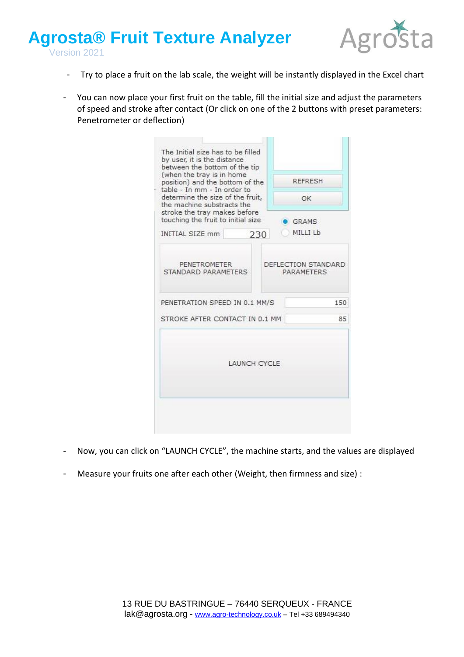

- Try to place a fruit on the lab scale, the weight will be instantly displayed in the Excel chart
- You can now place your first fruit on the table, fill the initial size and adjust the parameters of speed and stroke after contact (Or click on one of the 2 buttons with preset parameters: Penetrometer or deflection)

| The Initial size has to be filled<br>by user, it is the distance<br>between the bottom of the tip<br>(when the tray is in home<br>position) and the bottom of the<br>table - In mm - In order to<br>determine the size of the fruit,<br>the machine substracts the<br>stroke the tray makes before |                     | REFRESH<br>OK                     |
|----------------------------------------------------------------------------------------------------------------------------------------------------------------------------------------------------------------------------------------------------------------------------------------------------|---------------------|-----------------------------------|
| touching the fruit to initial size                                                                                                                                                                                                                                                                 |                     | GRAMS                             |
| INITIAL SIZE mm                                                                                                                                                                                                                                                                                    | 230                 | MILLI Lb                          |
| PENETROMETER<br>STANDARD PARAMETERS                                                                                                                                                                                                                                                                |                     | DEFLECTION STANDARD<br>PARAMETERS |
| PENETRATION SPEED IN 0.1 MM/S                                                                                                                                                                                                                                                                      |                     | 150                               |
| STROKE AFTER CONTACT IN 0.1 MM                                                                                                                                                                                                                                                                     |                     | 85                                |
|                                                                                                                                                                                                                                                                                                    | <b>LAUNCH CYCLE</b> |                                   |
|                                                                                                                                                                                                                                                                                                    |                     |                                   |

- Now, you can click on "LAUNCH CYCLE", the machine starts, and the values are displayed
- Measure your fruits one after each other (Weight, then firmness and size) :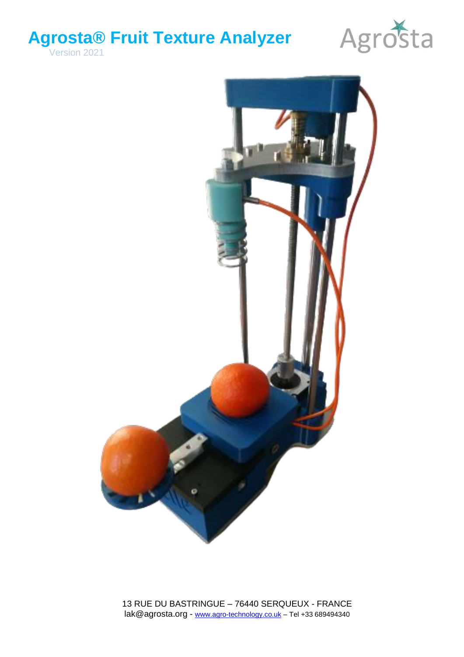